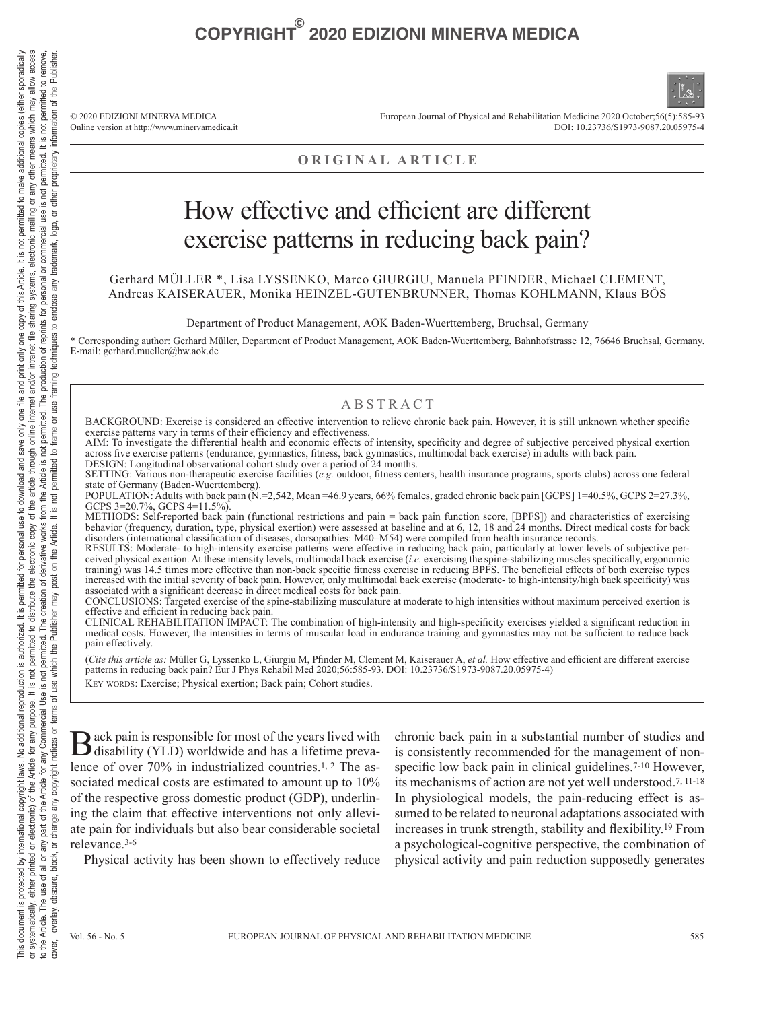© 2020 EDIZIONI MINERVA MEDICA Online version at http://www.minervamedica.it European Journal of Physical and Rehabilitation Medicine 2020 October;56(5):585-93 DOI: 10.23736/S1973-9087.20.05975-4

### **ORIGINAL ARTICLE**

### How effective and efficient are different exercise patterns in reducing back pain?

Gerhard MÜLLER \*, Lisa LYSSENKO, Marco GIURGIU, Manuela PFINDER, Michael CLEMENT, Andreas KAISERAUER, Monika HEINZEL-GUTENBRUNNER, Thomas KOHLMANN, Klaus BÖS

Department of Product Management, AOK Baden-Wuerttemberg, Bruchsal, Germany

\* Corresponding author: Gerhard Müller, Department of Product Management, AOK Baden-Wuerttemberg, Bahnhofstrasse 12, 76646 Bruchsal, Germany. E-mail: gerhard.mueller@bw.aok.de

#### ABSTRACT

BACKGROUND: Exercise is considered an effective intervention to relieve chronic back pain. However, it is still unknown whether specific exercise patterns vary in terms of their efficiency and effectiveness.

AIM: To investigate the differential health and economic effects of intensity, specificity and degree of subjective perceived physical exertion across five exercise patterns (endurance, gymnastics, fitness, back gymnastics, multimodal back exercise) in adults with back pain. DESIGN: Longitudinal observational cohort study over a period of 24 months.

SETTING: Various non-therapeutic exercise facilities (*e.g.* outdoor, fitness centers, health insurance programs, sports clubs) across one federal state of Germany (Baden-Wuerttemberg).

POPULATION: Adults with back pain (N.=2,542, Mean =46.9 years, 66% females, graded chronic back pain [GCPS] 1=40.5%, GCPS 2=27.3%, GCPS 3=20.7%, GCPS 4=11.5%).

METHODS: Self-reported back pain (functional restrictions and pain = back pain function score, [BPFS]) and characteristics of exercising behavior (frequency, duration, type, physical exertion) were assessed at baseline and at 6, 12, 18 and 24 months. Direct medical costs for back disorders (international classification of diseases, dorsopathies: M40–M54) were compiled from health insurance records.

RESULTS: Moderate- to high-intensity exercise patterns were effective in reducing back pain, particularly at lower levels of subjective perceived physical exertion. At these intensity levels, multimodal back exercise (*i.e.* exercising the spine-stabilizing muscles specifically, ergonomic training) was 14.5 times more effective than non-back specific fitness exercise in reducing BPFS. The beneficial effects of both exercise types increased with the initial severity of back pain. However, only multimodal back exercise (moderate- to high-intensity/high back specificity) was associated with a significant decrease in direct medical costs for back pain.

CONCLUSIONS: Targeted exercise of the spine-stabilizing musculature at moderate to high intensities without maximum perceived exertion is effective and efficient in reducing back pain.

CLINICAL REHABILITATION IMPACT: The combination of high-intensity and high-specificity exercises yielded a significant reduction in medical costs. However, the intensities in terms of muscular load in endurance training and gymnastics may not be sufficient to reduce back pain effectively.

(*Cite this article as:* Müller G, Lyssenko L, Giurgiu M, Pfinder M, Clement M, Kaiserauer A, *et al.* How effective and efficient are different exercise patterns in reducing back pain? Eur J Phys Rehabil Med 2020;56:585-93. DOI: 10.23736/S1973-9087.20.05975-4) KEY WORDS: Exercise; Physical exertion; Back pain; Cohort studies.

Back pain is responsible for most of the years lived with disability (YLD) worldwide and has a lifetime prevalence of over 70% in industrialized countries.1, 2 The associated medical costs are estimated to amount up to 10% of the respective gross domestic product (GDP), underlining the claim that effective interventions not only alleviate pain for individuals but also bear considerable societal relevance.3-6

Physical activity has been shown to effectively reduce

chronic back pain in a substantial number of studies and is consistently recommended for the management of nonspecific low back pain in clinical guidelines.<sup>7-10</sup> However, its mechanisms of action are not yet well understood.7, 11-18 In physiological models, the pain-reducing effect is assumed to be related to neuronal adaptations associated with increases in trunk strength, stability and flexibility.19 From a psychological-cognitive perspective, the combination of physical activity and pain reduction supposedly generates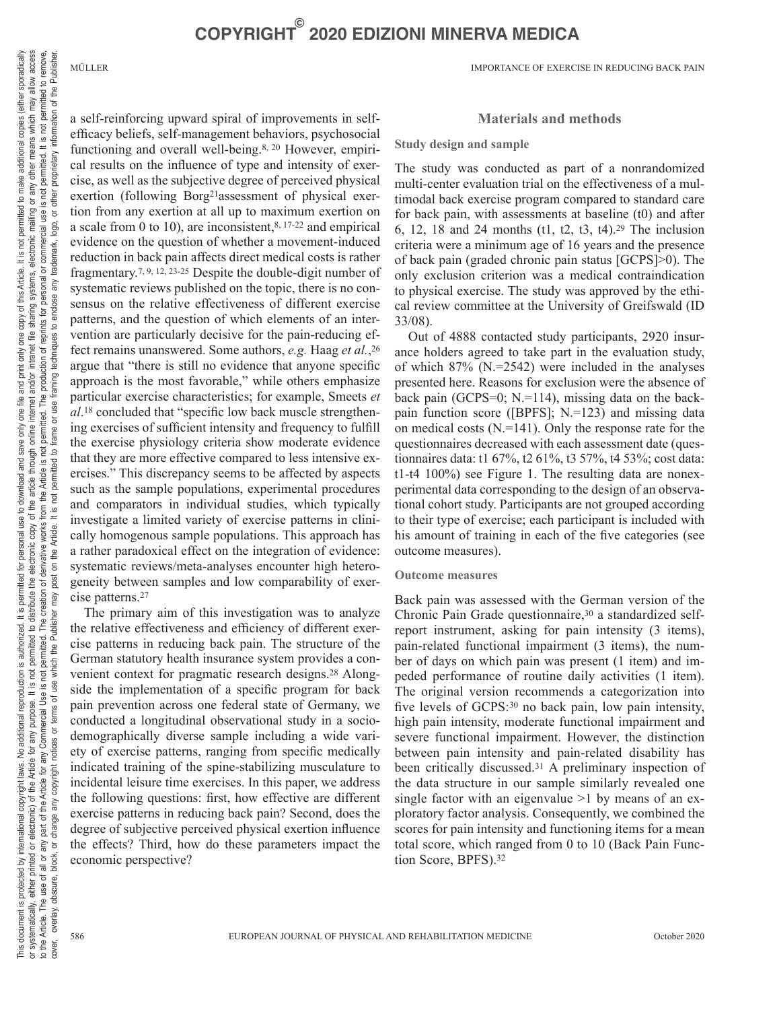a self-reinforcing upward spiral of improvements in selfefficacy beliefs, self-management behaviors, psychosocial functioning and overall well-being.8, 20 However, empirical results on the influence of type and intensity of exercise, as well as the subjective degree of perceived physical exertion (following Borg21assessment of physical exertion from any exertion at all up to maximum exertion on a scale from 0 to 10), are inconsistent, $8, 17-22$  and empirical evidence on the question of whether a movement-induced reduction in back pain affects direct medical costs is rather fragmentary.7, 9, 12, 23-25 Despite the double-digit number of systematic reviews published on the topic, there is no consensus on the relative effectiveness of different exercise patterns, and the question of which elements of an intervention are particularly decisive for the pain-reducing effect remains unanswered. Some authors, *e.g.* Haag *et al.*,26 argue that "there is still no evidence that anyone specific approach is the most favorable," while others emphasize particular exercise characteristics; for example, Smeets *et al*.18 concluded that "specific low back muscle strengthening exercises of sufficient intensity and frequency to fulfill the exercise physiology criteria show moderate evidence that they are more effective compared to less intensive exercises." This discrepancy seems to be affected by aspects such as the sample populations, experimental procedures and comparators in individual studies, which typically investigate a limited variety of exercise patterns in clinically homogenous sample populations. This approach has a rather paradoxical effect on the integration of evidence: systematic reviews/meta-analyses encounter high heterogeneity between samples and low comparability of exercise patterns.27

The primary aim of this investigation was to analyze the relative effectiveness and efficiency of different exercise patterns in reducing back pain. The structure of the German statutory health insurance system provides a convenient context for pragmatic research designs.28 Alongside the implementation of a specific program for back pain prevention across one federal state of Germany, we conducted a longitudinal observational study in a sociodemographically diverse sample including a wide variety of exercise patterns, ranging from specific medically indicated training of the spine-stabilizing musculature to incidental leisure time exercises. In this paper, we address the following questions: first, how effective are different exercise patterns in reducing back pain? Second, does the degree of subjective perceived physical exertion influence the effects? Third, how do these parameters impact the economic perspective?

#### **Materials and methods**

#### **Study design and sample**

The study was conducted as part of a nonrandomized multi-center evaluation trial on the effectiveness of a multimodal back exercise program compared to standard care for back pain, with assessments at baseline (t0) and after 6, 12, 18 and 24 months (t1, t2, t3, t4).29 The inclusion criteria were a minimum age of 16 years and the presence of back pain (graded chronic pain status [GCPS]>0). The only exclusion criterion was a medical contraindication to physical exercise. The study was approved by the ethical review committee at the University of Greifswald (ID 33/08).

Out of 4888 contacted study participants, 2920 insurance holders agreed to take part in the evaluation study, of which  $87\%$  (N.=2542) were included in the analyses presented here. Reasons for exclusion were the absence of back pain (GCPS=0; N.=114), missing data on the backpain function score ([BPFS]; N.=123) and missing data on medical costs (N.=141). Only the response rate for the questionnaires decreased with each assessment date (questionnaires data: t1 67%, t2 61%, t3 57%, t4 53%; cost data: t1-t4 100%) see Figure 1. The resulting data are nonexperimental data corresponding to the design of an observational cohort study. Participants are not grouped according to their type of exercise; each participant is included with his amount of training in each of the five categories (see outcome measures).

#### **Outcome measures**

Back pain was assessed with the German version of the Chronic Pain Grade questionnaire,<sup>30</sup> a standardized selfreport instrument, asking for pain intensity (3 items), pain-related functional impairment (3 items), the number of days on which pain was present (1 item) and impeded performance of routine daily activities (1 item). The original version recommends a categorization into five levels of GCPS:<sup>30</sup> no back pain, low pain intensity, high pain intensity, moderate functional impairment and severe functional impairment. However, the distinction between pain intensity and pain-related disability has been critically discussed.<sup>31</sup> A preliminary inspection of the data structure in our sample similarly revealed one single factor with an eigenvalue  $>1$  by means of an exploratory factor analysis. Consequently, we combined the scores for pain intensity and functioning items for a mean total score, which ranged from 0 to 10 (Back Pain Function Score, BPFS).32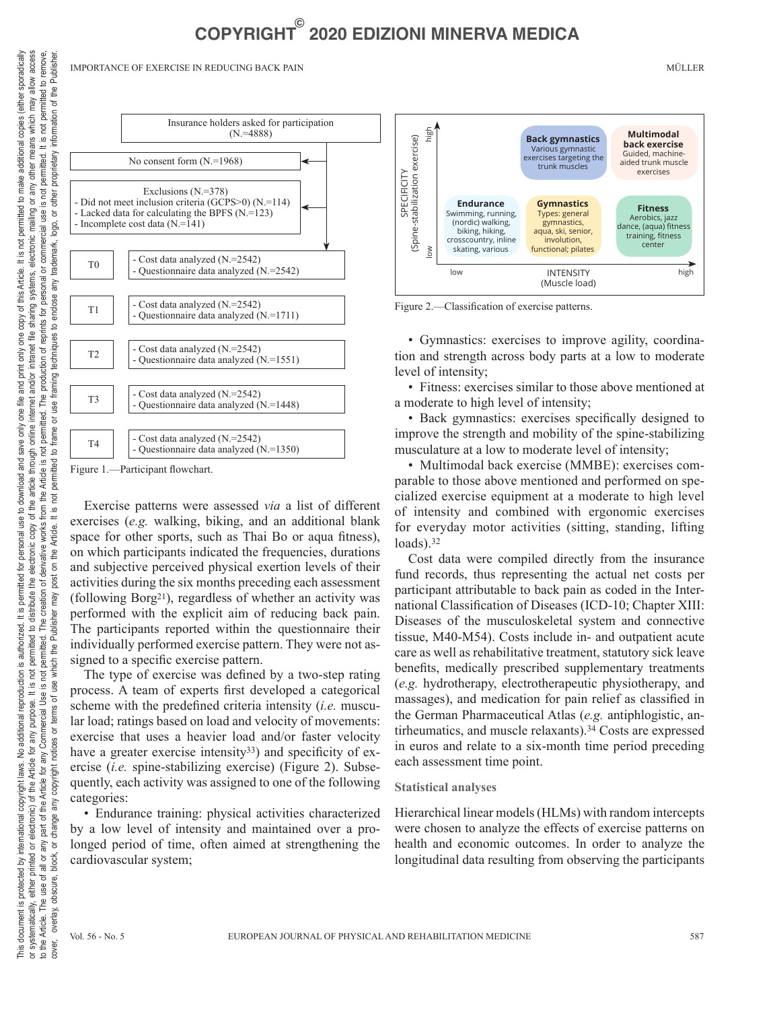IMPORTANCE OF EXERCISE IN REDUCING BACK PAIN MÜLLER



Figure 1.—Participant flowchart.

Exercise patterns were assessed *via* a list of different exercises (*e.g.* walking, biking, and an additional blank space for other sports, such as Thai Bo or aqua fitness), on which participants indicated the frequencies, durations and subjective perceived physical exertion levels of their activities during the six months preceding each assessment (following Borg21), regardless of whether an activity was performed with the explicit aim of reducing back pain. The participants reported within the questionnaire their individually performed exercise pattern. They were not assigned to a specific exercise pattern.

The type of exercise was defined by a two-step rating process. A team of experts first developed a categorical scheme with the predefined criteria intensity (*i.e.* muscular load; ratings based on load and velocity of movements: exercise that uses a heavier load and/or faster velocity have a greater exercise intensity<sup>33</sup>) and specificity of exercise (*i.e.* spine-stabilizing exercise) (Figure 2). Subsequently, each activity was assigned to one of the following categories:

• Endurance training: physical activities characterized by a low level of intensity and maintained over a prolonged period of time, often aimed at strengthening the cardiovascular system;



Figure 2.—Classification of exercise patterns.

• Gymnastics: exercises to improve agility, coordination and strength across body parts at a low to moderate level of intensity;

• Fitness: exercises similar to those above mentioned at a moderate to high level of intensity;

• Back gymnastics: exercises specifically designed to improve the strength and mobility of the spine-stabilizing musculature at a low to moderate level of intensity;

• Multimodal back exercise (MMBE): exercises comparable to those above mentioned and performed on specialized exercise equipment at a moderate to high level of intensity and combined with ergonomic exercises for everyday motor activities (sitting, standing, lifting loads).<sup>32</sup>

Cost data were compiled directly from the insurance fund records, thus representing the actual net costs per participant attributable to back pain as coded in the International Classification of Diseases (ICD-10; Chapter XIII: Diseases of the musculoskeletal system and connective tissue, M40-M54). Costs include in- and outpatient acute care as well as rehabilitative treatment, statutory sick leave benefits, medically prescribed supplementary treatments (*e.g.* hydrotherapy, electrotherapeutic physiotherapy, and massages), and medication for pain relief as classified in the German Pharmaceutical Atlas (*e.g.* antiphlogistic, antirheumatics, and muscle relaxants).34 Costs are expressed in euros and relate to a six-month time period preceding each assessment time point.

#### **Statistical analyses**

Hierarchical linear models (HLMs) with random intercepts were chosen to analyze the effects of exercise patterns on health and economic outcomes. In order to analyze the longitudinal data resulting from observing the participants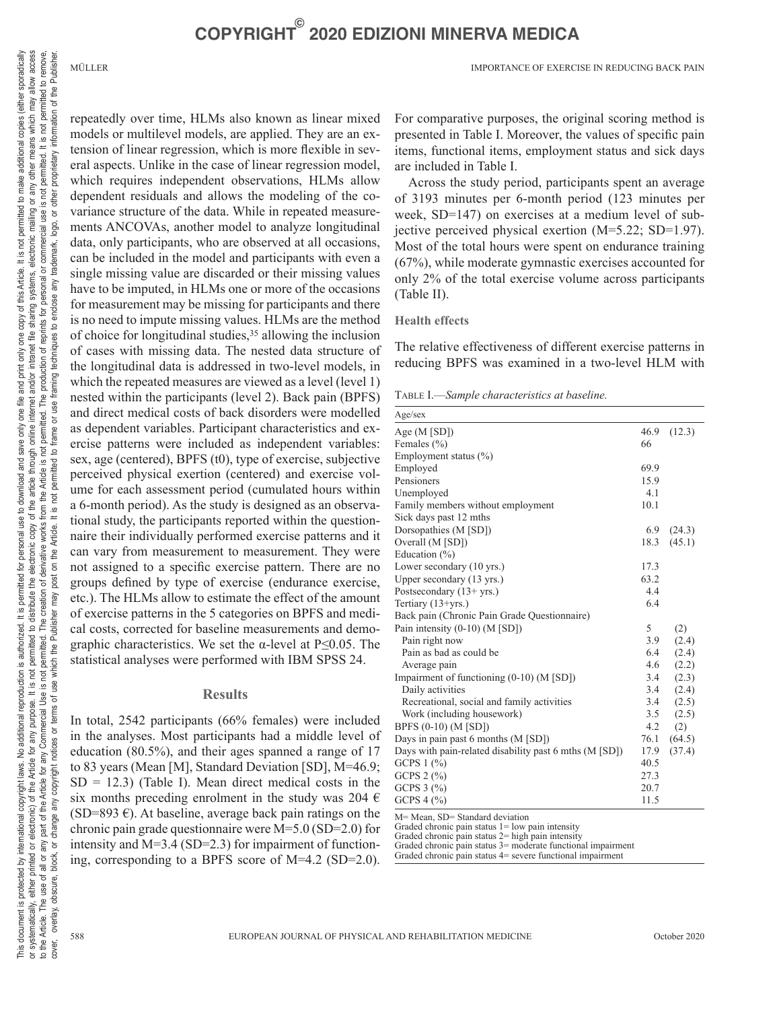of the Publisher

ion

repeatedly over time, HLMs also known as linear mixed models or multilevel models, are applied. They are an extension of linear regression, which is more flexible in several aspects. Unlike in the case of linear regression model, which requires independent observations, HLMs allow dependent residuals and allows the modeling of the covariance structure of the data. While in repeated measurements ANCOVAs, another model to analyze longitudinal data, only participants, who are observed at all occasions, can be included in the model and participants with even a single missing value are discarded or their missing values have to be imputed, in HLMs one or more of the occasions for measurement may be missing for participants and there is no need to impute missing values. HLMs are the method of choice for longitudinal studies,35 allowing the inclusion of cases with missing data. The nested data structure of the longitudinal data is addressed in two-level models, in which the repeated measures are viewed as a level (level 1) nested within the participants (level 2). Back pain (BPFS) and direct medical costs of back disorders were modelled as dependent variables. Participant characteristics and exercise patterns were included as independent variables: sex, age (centered), BPFS (t0), type of exercise, subjective perceived physical exertion (centered) and exercise volume for each assessment period (cumulated hours within a 6-month period). As the study is designed as an observational study, the participants reported within the questionnaire their individually performed exercise patterns and it can vary from measurement to measurement. They were not assigned to a specific exercise pattern. There are no groups defined by type of exercise (endurance exercise, etc.). The HLMs allow to estimate the effect of the amount of exercise patterns in the 5 categories on BPFS and medical costs, corrected for baseline measurements and demographic characteristics. We set the  $\alpha$ -level at P≤0.05. The statistical analyses were performed with IBM SPSS 24.

#### **Results**

In total, 2542 participants (66% females) were included in the analyses. Most participants had a middle level of education (80.5%), and their ages spanned a range of 17 to 83 years (Mean [M], Standard Deviation [SD], M=46.9;  $SD = 12.3$ ) (Table I). Mean direct medical costs in the six months preceding enrolment in the study was 204  $\epsilon$  $(SD=893 \epsilon)$ . At baseline, average back pain ratings on the chronic pain grade questionnaire were M=5.0 (SD=2.0) for intensity and M=3.4 (SD=2.3) for impairment of functioning, corresponding to a BPFS score of M=4.2 (SD=2.0).

For comparative purposes, the original scoring method is presented in Table I. Moreover, the values of specific pain items, functional items, employment status and sick days are included in Table I.

Across the study period, participants spent an average of 3193 minutes per 6-month period (123 minutes per week, SD=147) on exercises at a medium level of subjective perceived physical exertion (M=5.22; SD=1.97). Most of the total hours were spent on endurance training (67%), while moderate gymnastic exercises accounted for only 2% of the total exercise volume across participants (Table II).

#### **Health effects**

The relative effectiveness of different exercise patterns in reducing BPFS was examined in a two-level HLM with

Table I.—*Sample characteristics at baseline.*

| Age/sec                                                |      |        |
|--------------------------------------------------------|------|--------|
| Age $(M$ [SD] $)$                                      | 46.9 | (12.3) |
| Females (%)                                            | 66   |        |
| Employment status (%)                                  |      |        |
| Employed                                               | 69.9 |        |
| Pensioners                                             | 15.9 |        |
| Unemployed                                             | 4.1  |        |
| Family members without employment                      | 10.1 |        |
| Sick days past 12 mths                                 |      |        |
| Dorsopathies (M [SD])                                  | 6.9  | (24.3) |
| Overall (M [SD])                                       | 18.3 | (45.1) |
| Education $(\% )$                                      |      |        |
| Lower secondary (10 yrs.)                              | 17.3 |        |
| Upper secondary (13 yrs.)                              | 63.2 |        |
| Postsecondary (13+ yrs.)                               | 4.4  |        |
| Tertiary $(13 + yrs.)$                                 | 6.4  |        |
| Back pain (Chronic Pain Grade Questionnaire)           |      |        |
| Pain intensity (0-10) (M [SD])                         | 5    | (2)    |
| Pain right now                                         | 3.9  | (2.4)  |
| Pain as bad as could be                                | 6.4  | (2.4)  |
| Average pain                                           | 4.6  | (2.2)  |
| Impairment of functioning $(0-10)$ (M [SD])            | 3.4  | (2.3)  |
| Daily activities                                       | 3.4  | (2.4)  |
| Recreational, social and family activities             | 3.4  | (2.5)  |
| Work (including housework)                             | 3.5  | (2.5)  |
| BPFS (0-10) (M [SD])                                   | 4.2  | (2)    |
| Days in pain past 6 months (M [SD])                    | 76.1 | (64.5) |
| Days with pain-related disability past 6 mths (M [SD]) | 17.9 | (37.4) |
| GCPS $1$ $\left(\frac{9}{0}\right)$                    | 40.5 |        |
| GCPS $2$ $\left(\frac{9}{0}\right)$                    | 27.3 |        |
| GCPS $3$ $\frac{9}{6}$                                 | 20.7 |        |
| $GCPS 4$ (%)                                           | 11.5 |        |

M= Mean, SD= Standard deviation

Graded chronic pain status 1= low pain intensity Graded chronic pain status 1 for pain intensity<br>Graded chronic pain status 2= high pain intensity

Graded chronic pain status 2<sup>-</sup> mg<sub>1</sub> pain method,<br>Graded chronic pain status 3= moderate functional impairment

Graded chronic pain status 4= severe functional impairment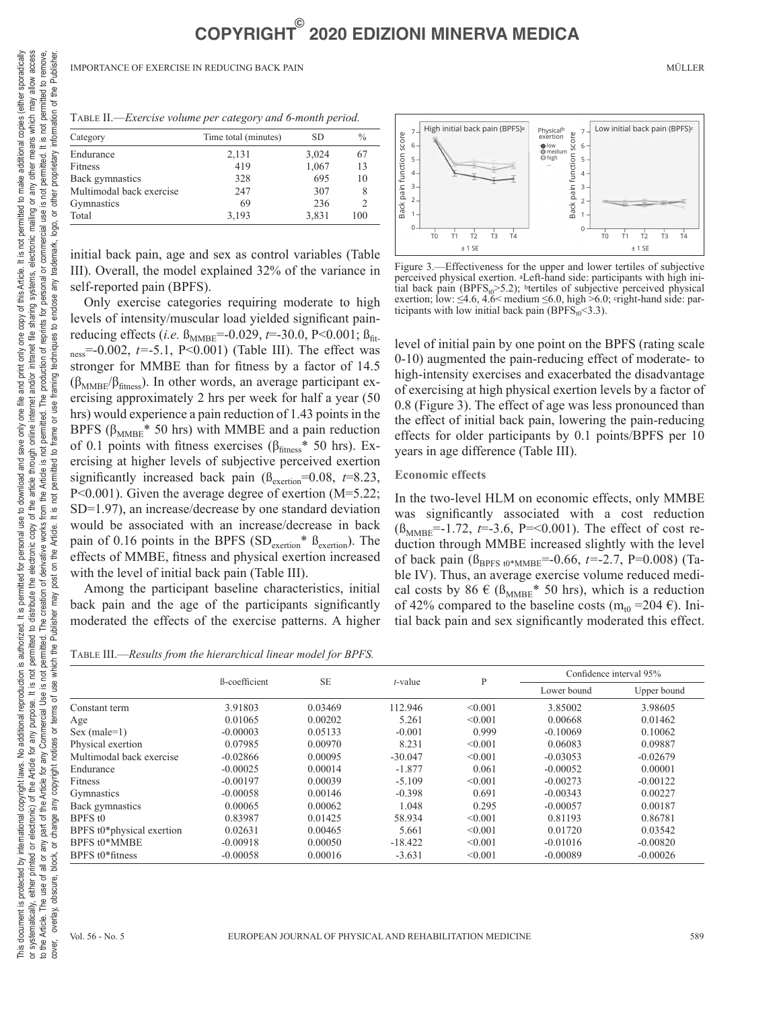| TABLE II.—Exercise volume per category and 6-month period. |  |
|------------------------------------------------------------|--|
|------------------------------------------------------------|--|

| Category                 | Time total (minutes) | SD    | $\frac{0}{0}$            |
|--------------------------|----------------------|-------|--------------------------|
| Endurance                | 2,131                | 3,024 | 67                       |
| Fitness                  | 419                  | 1,067 | 13                       |
| Back gymnastics          | 328                  | 695   | 10                       |
| Multimodal back exercise | 247                  | 307   | 8                        |
| Gymnastics               | 69                   | 236   | $\mathfrak{D}_{1}^{(1)}$ |
| Total                    | 3,193                | 3,831 | 100                      |

initial back pain, age and sex as control variables (Table III). Overall, the model explained 32% of the variance in self-reported pain (BPFS).

Only exercise categories requiring moderate to high levels of intensity/muscular load yielded significant painreducing effects (*i.e.*  $B_{MMBE}$ =-0.029, *t*=-30.0, P<0.001;  $B_{fit}$ ness=-0.002, *t=*-5.1, P<0.001) (Table III). The effect was stronger for MMBE than for fitness by a factor of 14.5  $(\beta_{MMBE}/\beta_{\text{fitness}})$ . In other words, an average participant exercising approximately 2 hrs per week for half a year (50 hrs) would experience a pain reduction of 1.43 points in the BPFS ( $\beta_{MMBE}$ <sup>\*</sup> 50 hrs) with MMBE and a pain reduction of 0.1 points with fitness exercises ( $\beta_{\text{fitness}}$ \* 50 hrs). Exercising at higher levels of subjective perceived exertion significantly increased back pain  $(\beta_{\text{excition}}=0.08, t=8.23)$ , P<0.001). Given the average degree of exertion (M=5.22; SD=1.97), an increase/decrease by one standard deviation would be associated with an increase/decrease in back pain of 0.16 points in the BPFS ( $SD_{\text{exention}}$ <sup>\*</sup>  $B_{\text{exention}}$ ). The effects of MMBE, fitness and physical exertion increased with the level of initial back pain (Table III).

Among the participant baseline characteristics, initial back pain and the age of the participants significantly moderated the effects of the exercise patterns. A higher

Table III.—*Results from the hierarchical linear model for BPFS.*



Figure 3.—Effectiveness for the upper and lower tertiles of subjective perceived physical exertion. aLeft-hand side: participants with high initial back pain (BPFS $_{t0}$ >5.2); btertiles of subjective perceived physical exertion; low:  $\leq 4.6$ ,  $4.6 < \text{medium} \leq 6.0$ , high  $> 6.0$ ; cright-hand side: participants with low initial back pain (BPFS<sub>t0</sub><3.3).

level of initial pain by one point on the BPFS (rating scale 0-10) augmented the pain-reducing effect of moderate- to high-intensity exercises and exacerbated the disadvantage of exercising at high physical exertion levels by a factor of 0.8 (Figure 3). The effect of age was less pronounced than the effect of initial back pain, lowering the pain-reducing effects for older participants by 0.1 points/BPFS per 10 years in age difference (Table III).

#### **Economic effects**

In the two-level HLM on economic effects, only MMBE was significantly associated with a cost reduction  $(\beta_{MMBE}=-1.72, t=-3.6, P=-0.001)$ . The effect of cost reduction through MMBE increased slightly with the level of back pain ( $\beta_{\text{BPFS 10*MMBE}}$ =-0.66, t=-2.7, P=0.008) (Table IV). Thus, an average exercise volume reduced medical costs by 86  $\in$  ( $\beta_{\text{MMBE}}$ <sup>\*</sup> 50 hrs), which is a reduction of 42% compared to the baseline costs (m<sub>t0</sub> = 204  $\epsilon$ ). Initial back pain and sex significantly moderated this effect.

|                           |               | <b>SE</b> | $t$ -value | P       | Confidence interval 95% |             |
|---------------------------|---------------|-----------|------------|---------|-------------------------|-------------|
|                           | ß-coefficient |           |            |         | Lower bound             | Upper bound |
| Constant term             | 3.91803       | 0.03469   | 112.946    | < 0.001 | 3.85002                 | 3.98605     |
| Age                       | 0.01065       | 0.00202   | 5.261      | < 0.001 | 0.00668                 | 0.01462     |
| $Sex (male=1)$            | $-0.00003$    | 0.05133   | $-0.001$   | 0.999   | $-0.10069$              | 0.10062     |
| Physical exertion         | 0.07985       | 0.00970   | 8.231      | < 0.001 | 0.06083                 | 0.09887     |
| Multimodal back exercise  | $-0.02866$    | 0.00095   | $-30.047$  | < 0.001 | $-0.03053$              | $-0.02679$  |
| Endurance                 | $-0.00025$    | 0.00014   | $-1.877$   | 0.061   | $-0.00052$              | 0.00001     |
| Fitness                   | $-0.00197$    | 0.00039   | $-5.109$   | < 0.001 | $-0.00273$              | $-0.00122$  |
| Gymnastics                | $-0.00058$    | 0.00146   | $-0.398$   | 0.691   | $-0.00343$              | 0.00227     |
| Back gymnastics           | 0.00065       | 0.00062   | 1.048      | 0.295   | $-0.00057$              | 0.00187     |
| BPFS t <sub>0</sub>       | 0.83987       | 0.01425   | 58.934     | < 0.001 | 0.81193                 | 0.86781     |
| BPFS t0*physical exertion | 0.02631       | 0.00465   | 5.661      | < 0.001 | 0.01720                 | 0.03542     |
| <b>BPFS t0*MMBE</b>       | $-0.00918$    | 0.00050   | $-18.422$  | < 0.001 | $-0.01016$              | $-0.00820$  |
| BPFS t0*fitness           | $-0.00058$    | 0.00016   | $-3.631$   | < 0.001 | $-0.00089$              | $-0.00026$  |

This document is protected by international copyright laws. No additional reproduction is authorized. It is permitted for personal use of download and save only one file and print only one copy of this Artide. It is not pe This document is protected by international copyright laws. No additional is authorized. It is permitted for personal use of dominational spacing the interational copyright laws. No additional reproduction is authorized it

on the Article. It is not permitted to t

post

any part of the Article for any Commercial Use is not permitted. The creation of derivative works from the Article is not

change any copyright notices or terms of use which the Publisher may

block, or

to the Article. The use of all or overlay, obscure,

cover.

not permitted to remove

permitted. The production of reprints for personal or commercial use is not permitted. It is

trademark,

enclose any ءِ

frame or use framing techniques

logo, or other proprietary information of the Publisher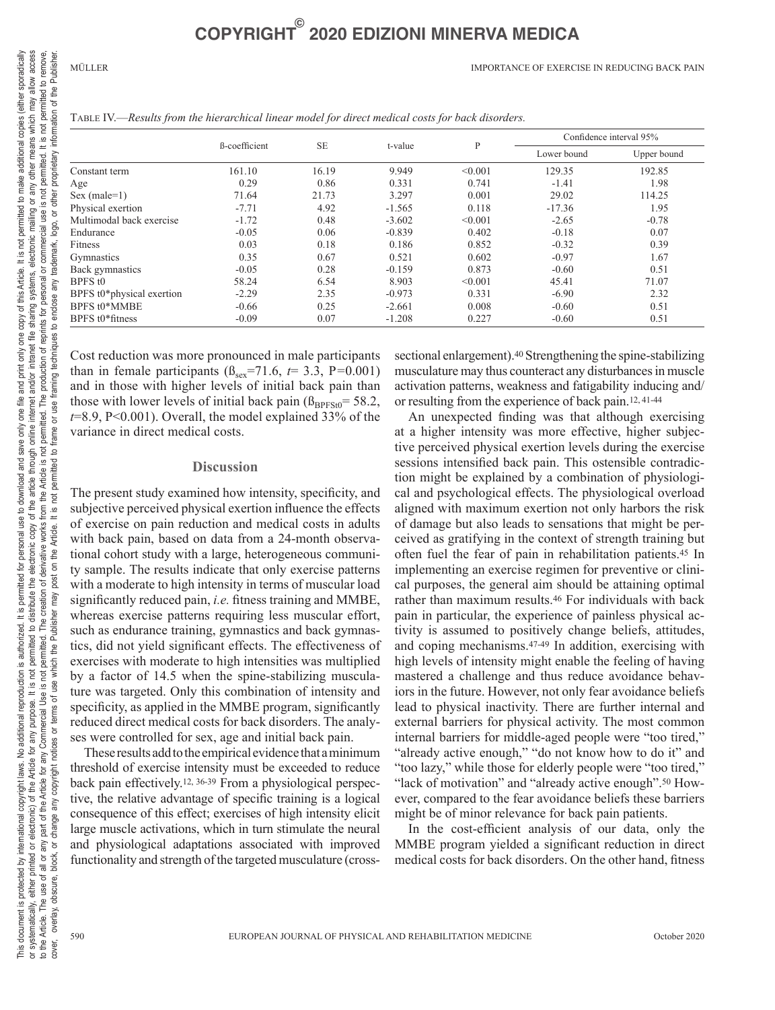MÜLLER IMPORTANCE OF EXERCISE IN REDUCING BACK PAIN

| TABLE IV.—Results from the hierarchical linear model for direct medical costs for back disorders. |  |  |
|---------------------------------------------------------------------------------------------------|--|--|
|---------------------------------------------------------------------------------------------------|--|--|

|                           | ß-coefficient | <b>SE</b> | t-value  | P       | Confidence interval 95% |             |
|---------------------------|---------------|-----------|----------|---------|-------------------------|-------------|
|                           |               |           |          |         | Lower bound             | Upper bound |
| Constant term             | 161.10        | 16.19     | 9.949    | < 0.001 | 129.35                  | 192.85      |
| Age                       | 0.29          | 0.86      | 0.331    | 0.741   | $-1.41$                 | 1.98        |
| $Sex (male=1)$            | 71.64         | 21.73     | 3.297    | 0.001   | 29.02                   | 114.25      |
| Physical exertion         | $-7.71$       | 4.92      | $-1.565$ | 0.118   | $-17.36$                | 1.95        |
| Multimodal back exercise  | $-1.72$       | 0.48      | $-3.602$ | < 0.001 | $-2.65$                 | $-0.78$     |
| Endurance                 | $-0.05$       | 0.06      | $-0.839$ | 0.402   | $-0.18$                 | 0.07        |
| Fitness                   | 0.03          | 0.18      | 0.186    | 0.852   | $-0.32$                 | 0.39        |
| Gymnastics                | 0.35          | 0.67      | 0.521    | 0.602   | $-0.97$                 | 1.67        |
| Back gymnastics           | $-0.05$       | 0.28      | $-0.159$ | 0.873   | $-0.60$                 | 0.51        |
| BPFS t <sub>0</sub>       | 58.24         | 6.54      | 8.903    | < 0.001 | 45.41                   | 71.07       |
| BPFS t0*physical exertion | $-2.29$       | 2.35      | $-0.973$ | 0.331   | $-6.90$                 | 2.32        |
| BPFS t0*MMBE              | $-0.66$       | 0.25      | $-2.661$ | 0.008   | $-0.60$                 | 0.51        |
| BPFS t0*fitness           | $-0.09$       | 0.07      | $-1.208$ | 0.227   | $-0.60$                 | 0.51        |

Cost reduction was more pronounced in male participants than in female participants ( $\beta_{\text{sex}}$ =71.6,  $t$  = 3.3, P=0.001) and in those with higher levels of initial back pain than those with lower levels of initial back pain  $(\beta_{BPFSt0} = 58.2,$ *t*=8.9, P<0.001). Overall, the model explained 33% of the variance in direct medical costs.

#### **Discussion**

The present study examined how intensity, specificity, and subjective perceived physical exertion influence the effects of exercise on pain reduction and medical costs in adults with back pain, based on data from a 24-month observational cohort study with a large, heterogeneous community sample. The results indicate that only exercise patterns with a moderate to high intensity in terms of muscular load significantly reduced pain, *i.e.* fitness training and MMBE, whereas exercise patterns requiring less muscular effort, such as endurance training, gymnastics and back gymnastics, did not yield significant effects. The effectiveness of exercises with moderate to high intensities was multiplied by a factor of 14.5 when the spine-stabilizing musculature was targeted. Only this combination of intensity and specificity, as applied in the MMBE program, significantly reduced direct medical costs for back disorders. The analyses were controlled for sex, age and initial back pain.

These results add to the empirical evidence that a minimum threshold of exercise intensity must be exceeded to reduce back pain effectively.12, 36-39 From a physiological perspective, the relative advantage of specific training is a logical consequence of this effect; exercises of high intensity elicit large muscle activations, which in turn stimulate the neural and physiological adaptations associated with improved functionality and strength of the targeted musculature (crosssectional enlargement).<sup>40</sup> Strengthening the spine-stabilizing musculature may thus counteract any disturbances in muscle activation patterns, weakness and fatigability inducing and/ or resulting from the experience of back pain.12, 41-44

An unexpected finding was that although exercising at a higher intensity was more effective, higher subjective perceived physical exertion levels during the exercise sessions intensified back pain. This ostensible contradiction might be explained by a combination of physiological and psychological effects. The physiological overload aligned with maximum exertion not only harbors the risk of damage but also leads to sensations that might be perceived as gratifying in the context of strength training but often fuel the fear of pain in rehabilitation patients.45 In implementing an exercise regimen for preventive or clinical purposes, the general aim should be attaining optimal rather than maximum results.46 For individuals with back pain in particular, the experience of painless physical activity is assumed to positively change beliefs, attitudes, and coping mechanisms.47-49 In addition, exercising with high levels of intensity might enable the feeling of having mastered a challenge and thus reduce avoidance behaviors in the future. However, not only fear avoidance beliefs lead to physical inactivity. There are further internal and external barriers for physical activity. The most common internal barriers for middle-aged people were "too tired," "already active enough," "do not know how to do it" and "too lazy," while those for elderly people were "too tired," "lack of motivation" and "already active enough".50 However, compared to the fear avoidance beliefs these barriers might be of minor relevance for back pain patients.

In the cost-efficient analysis of our data, only the MMBE program yielded a significant reduction in direct medical costs for back disorders. On the other hand, fitness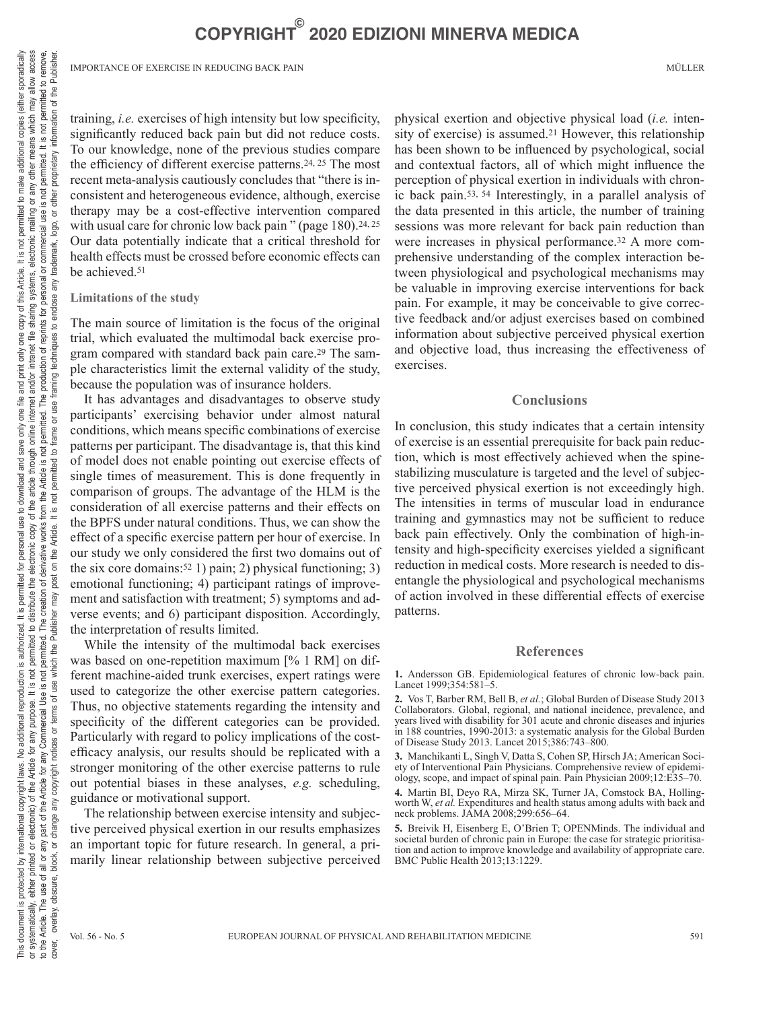IMPORTANCE OF EXERCISE IN REDUCING BACK PAIN MÜLLER

training, *i.e.* exercises of high intensity but low specificity, significantly reduced back pain but did not reduce costs. To our knowledge, none of the previous studies compare the efficiency of different exercise patterns.24, 25 The most recent meta-analysis cautiously concludes that "there is inconsistent and heterogeneous evidence, although, exercise therapy may be a cost-effective intervention compared with usual care for chronic low back pain " (page  $180$ ).<sup>24, 25</sup> Our data potentially indicate that a critical threshold for health effects must be crossed before economic effects can be achieved.51

#### **Limitations of the study**

The main source of limitation is the focus of the original trial, which evaluated the multimodal back exercise program compared with standard back pain care.<sup>29</sup> The sample characteristics limit the external validity of the study, because the population was of insurance holders.

It has advantages and disadvantages to observe study participants' exercising behavior under almost natural conditions, which means specific combinations of exercise patterns per participant. The disadvantage is, that this kind of model does not enable pointing out exercise effects of single times of measurement. This is done frequently in comparison of groups. The advantage of the HLM is the consideration of all exercise patterns and their effects on the BPFS under natural conditions. Thus, we can show the effect of a specific exercise pattern per hour of exercise. In our study we only considered the first two domains out of the six core domains:<sup>52</sup> 1) pain; 2) physical functioning; 3) emotional functioning; 4) participant ratings of improvement and satisfaction with treatment; 5) symptoms and adverse events; and 6) participant disposition. Accordingly, the interpretation of results limited.

While the intensity of the multimodal back exercises was based on one-repetition maximum [% 1 RM] on different machine-aided trunk exercises, expert ratings were used to categorize the other exercise pattern categories. Thus, no objective statements regarding the intensity and specificity of the different categories can be provided. Particularly with regard to policy implications of the costefficacy analysis, our results should be replicated with a stronger monitoring of the other exercise patterns to rule out potential biases in these analyses, *e.g.* scheduling, guidance or motivational support.

The relationship between exercise intensity and subjective perceived physical exertion in our results emphasizes an important topic for future research. In general, a primarily linear relationship between subjective perceived physical exertion and objective physical load (*i.e.* intensity of exercise) is assumed.<sup>21</sup> However, this relationship has been shown to be influenced by psychological, social and contextual factors, all of which might influence the perception of physical exertion in individuals with chronic back pain.53, 54 Interestingly, in a parallel analysis of the data presented in this article, the number of training sessions was more relevant for back pain reduction than were increases in physical performance.<sup>32</sup> A more comprehensive understanding of the complex interaction between physiological and psychological mechanisms may be valuable in improving exercise interventions for back pain. For example, it may be conceivable to give corrective feedback and/or adjust exercises based on combined information about subjective perceived physical exertion and objective load, thus increasing the effectiveness of exercises.

#### **Conclusions**

In conclusion, this study indicates that a certain intensity of exercise is an essential prerequisite for back pain reduction, which is most effectively achieved when the spinestabilizing musculature is targeted and the level of subjective perceived physical exertion is not exceedingly high. The intensities in terms of muscular load in endurance training and gymnastics may not be sufficient to reduce back pain effectively. Only the combination of high-intensity and high-specificity exercises yielded a significant reduction in medical costs. More research is needed to disentangle the physiological and psychological mechanisms of action involved in these differential effects of exercise patterns.

#### **References**

**1.** Andersson GB. Epidemiological features of chronic low-back pain. Lancet 1999;354:581–5.

**2.** Vos T, Barber RM, Bell B, *et al.*; Global Burden of Disease Study 2013 Collaborators. Global, regional, and national incidence, prevalence, and years lived with disability for 301 acute and chronic diseases and injuries in 188 countries, 1990-2013: a systematic analysis for the Global Burden of Disease Study 2013. Lancet 2015;386:743–800.

**3.** Manchikanti L, Singh V, Datta S, Cohen SP, Hirsch JA; American Society of Interventional Pain Physicians. Comprehensive review of epidemiology, scope, and impact of spinal pain. Pain Physician 2009;12:E35–70.

**4.** Martin BI, Deyo RA, Mirza SK, Turner JA, Comstock BA, Hollingworth W, *et al.* Expenditures and health status among adults with back and neck problems. JAMA 2008;299:656–64.

**5.** Breivik H, Eisenberg E, O'Brien T; OPENMinds. The individual and societal burden of chronic pain in Europe: the case for strategic prioritisation and action to improve knowledge and availability of appropriate care. BMC Public Health 2013;13:1229.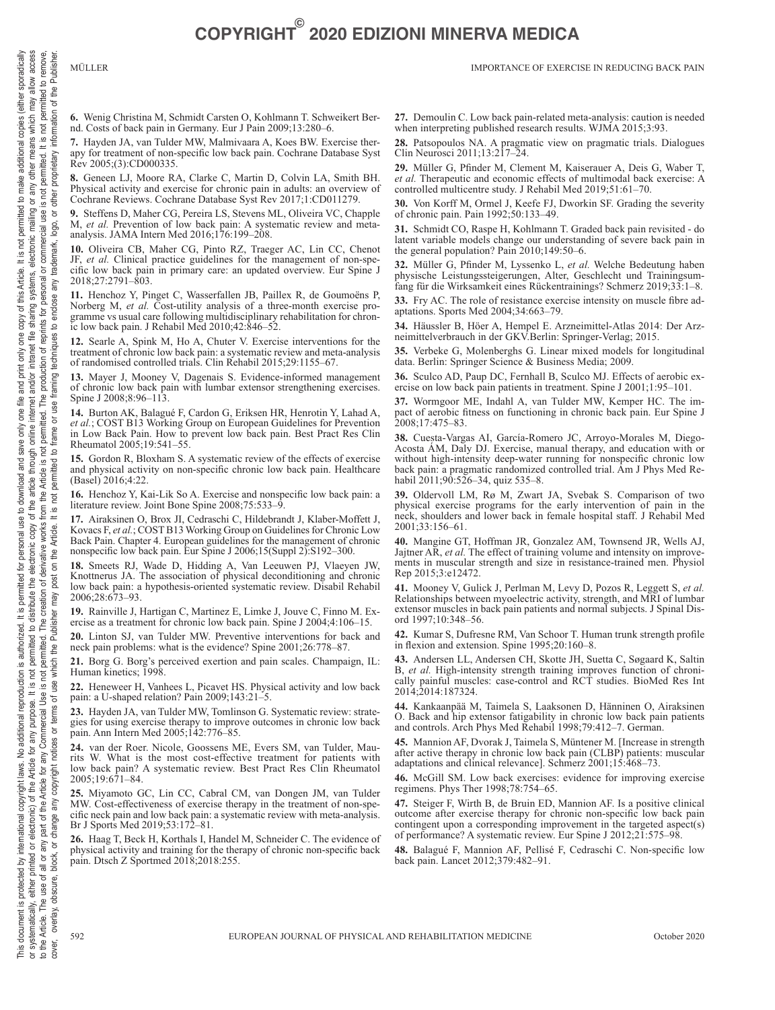or any other means which may allow access<br>is not permitted. It is not permitted to remove,

the Publisher

đ  $\overline{5}$ informa<sup>®</sup>

proprietary

other use is r permitted

 $\overline{\sigma}$ ogo,

for personal or commercial trademark,

endose any

 $\overline{\mathbf{e}}$ 

techniques

framing ise  $\overline{\sigma}$ rame

sporadically

to make additional copies (either

**6.** Wenig Christina M, Schmidt Carsten O, Kohlmann T. Schweikert Bernd. Costs of back pain in Germany. Eur J Pain 2009;13:280–6.

**7.** Hayden JA, van Tulder MW, Malmivaara A, Koes BW. Exercise therapy for treatment of non-specific low back pain. Cochrane Database Syst Rev 2005;(3):CD000335.

**8.** Geneen LJ, Moore RA, Clarke C, Martin D, Colvin LA, Smith BH. Physical activity and exercise for chronic pain in adults: an overview of Cochrane Reviews. Cochrane Database Syst Rev 2017;1:CD011279.

**9.** Steffens D, Maher CG, Pereira LS, Stevens ML, Oliveira VC, Chapple M, *et al.* Prevention of low back pain: A systematic review and metaanalysis. JAMA Intern Med 2016;176:199–208.

**10.** Oliveira CB, Maher CG, Pinto RZ, Traeger AC, Lin CC, Chenot JF, *et al.* Clinical practice guidelines for the management of non-spe-JF, *et al.* Clinical practice guidelines for the management of non-specific low back pain in primary care: an updated overview. Eur Spine J 2018;27:2791–803.

**11.** Henchoz Y, Pinget C, Wasserfallen JB, Paillex R, de Goumoëns P, Norberg M, *et al.* Cost-utility analysis of a three-month exercise programme vs usual care following multidisciplinary rehabilitation for chronic low back pain. J Rehabil Med 2010;42:846–52.

**12.** Searle A, Spink M, Ho A, Chuter V. Exercise interventions for the treatment of chronic low back pain: a systematic review and meta-analysis of randomised controlled trials. Clin Rehabil 2015;29:1155–67.

**13.** Mayer J, Mooney V, Dagenais S. Evidence-informed management of chronic low back pain with lumbar extensor strengthening exercises. Spine J 2008;8:96-113.

**14.** Burton AK, Balagué F, Cardon G, Eriksen HR, Henrotin Y, Lahad A, *et al.*; COST B13 Working Group on European Guidelines for Prevention in Low Back Pain. How to prevent low back pain. Best Pract Res Clin Rheumatol 2005;19:541–55.

**15.** Gordon R, Bloxham S. A systematic review of the effects of exercise and physical activity on non-specific chronic low back pain. Healthcare (Basel) 2016;4:22.

**16.** Henchoz Y, Kai-Lik So A. Exercise and nonspecific low back pain: a literature review. Joint Bone Spine 2008;75:533-9.

**17.** Airaksinen O, Brox JI, Cedraschi C, Hildebrandt J, Klaber-Moffett J, Kovacs F, *et al.*; COST B13 Working Group on Guidelines for Chronic Low Back Pain. Chapter 4. European guidelines for the management of chronic nonspecific low back pain. Eur Spine J 2006;15(Suppl 2):S192–300.

**18.** Smeets RJ, Wade D, Hidding A, Van Leeuwen PJ, Vlaeyen JW, Knottnerus JA. The association of physical deconditioning and chronic low back pain: a hypothesis-oriented systematic review. Disabil Rehabil 2006;28:673–93.

**19.** Rainville J, Hartigan C, Martinez E, Limke J, Jouve C, Finno M. Exercise as a treatment for chronic low back pain. Spine J 2004;4:106–15.

**20.** Linton SJ, van Tulder MW. Preventive interventions for back and neck pain problems: what is the evidence? Spine 2001;26:778–87.

**21.** Borg G. Borg's perceived exertion and pain scales. Champaign, IL: Human kinetics; 1998.

**22.** Heneweer H, Vanhees L, Picavet HS. Physical activity and low back pain: a U-shaped relation? Pain 2009;143:21–5.

**23.** Hayden JA, van Tulder MW, Tomlinson G. Systematic review: strategies for using exercise therapy to improve outcomes in chronic low back pain. Ann Intern Med 2005;142:776–85.

**24.** van der Roer. Nicole, Goossens ME, Evers SM, van Tulder, Maurits W. What is the most cost-effective treatment for patients with low back pain? A systematic review. Best Pract Res Clin Rheumatol 2005;19:671–84.

**25.** Miyamoto GC, Lin CC, Cabral CM, van Dongen JM, van Tulder MW. Cost-effectiveness of exercise therapy in the treatment of non-specific neck pain and low back pain: a systematic review with meta-analysis. Br J Sports Med 2019;53:172–81.

**26.** Haag T, Beck H, Korthals I, Handel M, Schneider C. The evidence of physical activity and training for the therapy of chronic non-specific back pain. Dtsch Z Sportmed 2018;2018:255.

**27.** Demoulin C. Low back pain-related meta-analysis: caution is needed when interpreting published research results. WJMA 2015;3:93.

**28.** Patsopoulos NA. A pragmatic view on pragmatic trials. Dialogues Clin Neurosci 2011;13:217–24.

**29.** Müller G, Pfinder M, Clement M, Kaiserauer A, Deis G, Waber T, *et al.* Therapeutic and economic effects of multimodal back exercise: A controlled multicentre study. J Rehabil Med 2019;51:61–70.

**30.** Von Korff M, Ormel J, Keefe FJ, Dworkin SF. Grading the severity of chronic pain. Pain 1992;50:133–49.

**31.** Schmidt CO, Raspe H, Kohlmann T. Graded back pain revisited - do latent variable models change our understanding of severe back pain in the general population? Pain 2010;149:50–6.

**32.** Müller G, Pfinder M, Lyssenko L, *et al.* Welche Bedeutung haben physische Leistungssteigerungen, Alter, Geschlecht und Trainingsumfang für die Wirksamkeit eines Rückentrainings? Schmerz 2019;33:1–8.

**33.** Fry AC. The role of resistance exercise intensity on muscle fibre adaptations. Sports Med 2004;34:663–79.

**34.** Häussler B, Höer A, Hempel E. Arzneimittel-Atlas 2014: Der Arzneimittelverbrauch in der GKV.Berlin: Springer-Verlag; 2015.

**35.** Verbeke G, Molenberghs G. Linear mixed models for longitudinal data. Berlin: Springer Science & Business Media; 2009.

**36.** Sculco AD, Paup DC, Fernhall B, Sculco MJ. Effects of aerobic exercise on low back pain patients in treatment. Spine J 2001;1:95–101.

**37.** Wormgoor ME, Indahl A, van Tulder MW, Kemper HC. The impact of aerobic fitness on functioning in chronic back pain. Eur Spine J 2008;17:475–83.

**38.** Cuesta-Vargas AI, García-Romero JC, Arroyo-Morales M, Diego-Acosta ÁM, Daly DJ. Exercise, manual therapy, and education with or without high-intensity deep-water running for nonspecific chronic low back pain: a pragmatic randomized controlled trial. Am J Phys Med Rehabil  $2011; 90: 526 - 34$ , quiz  $535 - 8$ .

**39.** Oldervoll LM, Rø M, Zwart JA, Svebak S. Comparison of two physical exercise programs for the early intervention of pain in the neck, shoulders and lower back in female hospital staff. J Rehabil Med 2001;33:156–61.

**40.** Mangine GT, Hoffman JR, Gonzalez AM, Townsend JR, Wells AJ, Jajtner AR, *et al.* The effect of training volume and intensity on improvements in muscular strength and size in resistance-trained men. Physiol Rep 2015;3:e12472.

**41.** Mooney V, Gulick J, Perlman M, Levy D, Pozos R, Leggett S, *et al.* Relationships between myoelectric activity, strength, and MRI of lumbar extensor muscles in back pain patients and normal subjects. J Spinal Disord 1997;10:348–56.

**42.** Kumar S, Dufresne RM, Van Schoor T. Human trunk strength profile in flexion and extension. Spine 1995;20:160–8.

**43.** Andersen LL, Andersen CH, Skotte JH, Suetta C, Søgaard K, Saltin B, *et al.* High-intensity strength training improves function of chronically painful muscles: case-control and RCT studies. BioMed Res Int 2014;2014:187324.

**44.** Kankaanpää M, Taimela S, Laaksonen D, Hänninen O, Airaksinen O. Back and hip extensor fatigability in chronic low back pain patients and controls. Arch Phys Med Rehabil 1998;79:412–7. German.

**45.** Mannion AF, Dvorak J, Taimela S, Müntener M. [Increase in strength after active therapy in chronic low back pain (CLBP) patients: muscular adaptations and clinical relevance]. Schmerz 2001;15:468–73.

**46.** McGill SM. Low back exercises: evidence for improving exercise regimens. Phys Ther 1998;78:754–65.

**47.** Steiger F, Wirth B, de Bruin ED, Mannion AF. Is a positive clinical outcome after exercise therapy for chronic non-specific low back pain contingent upon a corresponding improvement in the targeted aspect(s) of performance? A systematic review. Eur Spine J 2012;21:575–98.

**48.** Balagué F, Mannion AF, Pellisé F, Cedraschi C. Non-specific low back pain. Lancet 2012;379:482–91.

This document is protected by international copyright laws. No additional is authorized. It is permitted for personal use of dominational spacing the interational copyright laws. No additional reproduction is authorized it

the Article is not proteined to free **Tot** lt is Article. e<br>He  $\overline{5}$ post may

is document is protected by international copyright laws. No additional reproduction is authorized. It is permitted for personal use to download and save only one file and print only one copy of this Article. It is not per

the Publisher

 $\overline{5}$ Ī **JSe** đ terms

notices or

copyright

 $\frac{1}{2}$ change  $\overline{\sigma}$ block,

overlay, obscure,

to the Article. cover.  $\overline{\sigma}$ 

This document is protected by international copyright